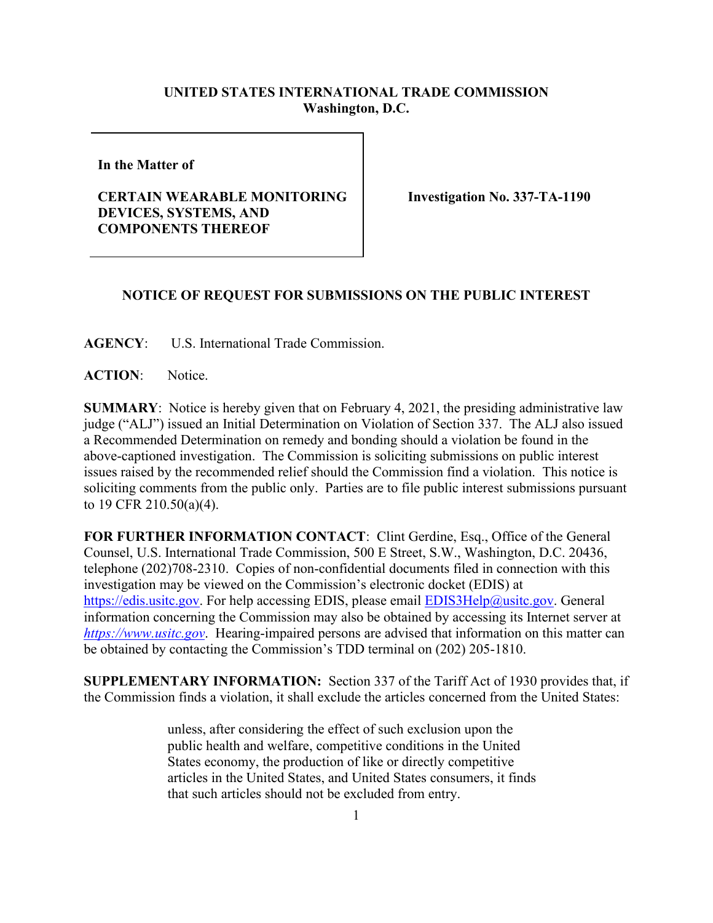## **UNITED STATES INTERNATIONAL TRADE COMMISSION Washington, D.C.**

**In the Matter of** 

## **CERTAIN WEARABLE MONITORING DEVICES, SYSTEMS, AND COMPONENTS THEREOF**

**Investigation No. 337-TA-1190**

## **NOTICE OF REQUEST FOR SUBMISSIONS ON THE PUBLIC INTEREST**

**AGENCY**: U.S. International Trade Commission.

**ACTION**: Notice.

**SUMMARY**: Notice is hereby given that on February 4, 2021, the presiding administrative law judge ("ALJ") issued an Initial Determination on Violation of Section 337. The ALJ also issued a Recommended Determination on remedy and bonding should a violation be found in the above-captioned investigation. The Commission is soliciting submissions on public interest issues raised by the recommended relief should the Commission find a violation. This notice is soliciting comments from the public only. Parties are to file public interest submissions pursuant to 19 CFR 210.50(a)(4).

**FOR FURTHER INFORMATION CONTACT**: Clint Gerdine, Esq., Office of the General Counsel, U.S. International Trade Commission, 500 E Street, S.W., Washington, D.C. 20436, telephone (202)708-2310. Copies of non-confidential documents filed in connection with this investigation may be viewed on the Commission's electronic docket (EDIS) at [https://edis.usitc.gov.](https://edis.usitc.gov/) For help accessing EDIS, please email **EDIS3Help@usitc.gov**. General information concerning the Commission may also be obtained by accessing its Internet server at *[https://www.usitc.gov](https://www.usitc.gov/)*. Hearing-impaired persons are advised that information on this matter can be obtained by contacting the Commission's TDD terminal on (202) 205-1810.

**SUPPLEMENTARY INFORMATION:** Section 337 of the Tariff Act of 1930 provides that, if the Commission finds a violation, it shall exclude the articles concerned from the United States:

> unless, after considering the effect of such exclusion upon the public health and welfare, competitive conditions in the United States economy, the production of like or directly competitive articles in the United States, and United States consumers, it finds that such articles should not be excluded from entry.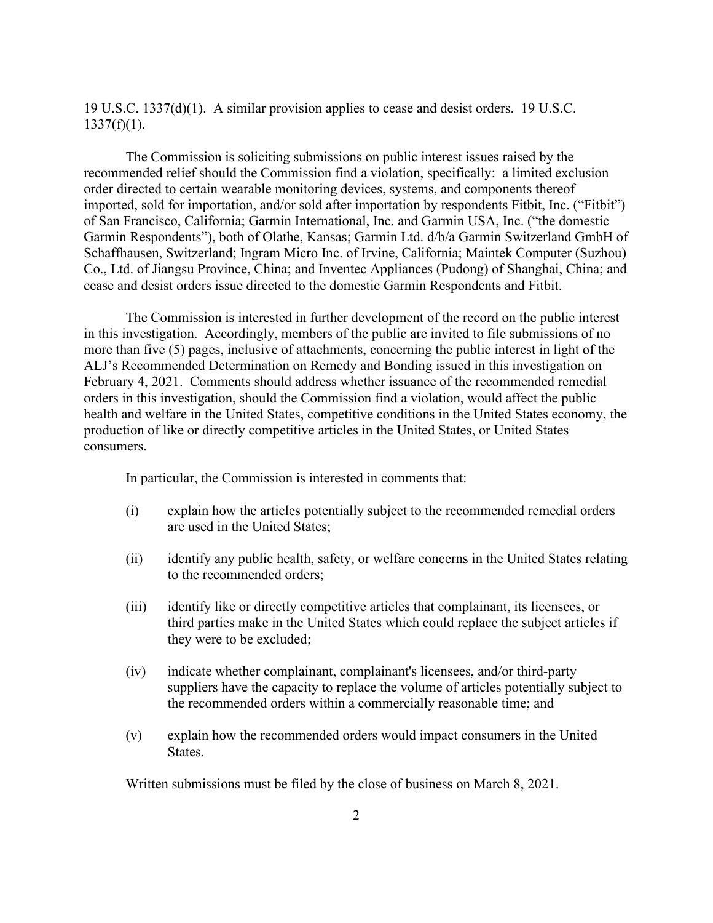19 U.S.C. 1337(d)(1). A similar provision applies to cease and desist orders. 19 U.S.C.  $1337(f)(1)$ .

The Commission is soliciting submissions on public interest issues raised by the recommended relief should the Commission find a violation, specifically: a limited exclusion order directed to certain wearable monitoring devices, systems, and components thereof imported, sold for importation, and/or sold after importation by respondents Fitbit, Inc. ("Fitbit") of San Francisco, California; Garmin International, Inc. and Garmin USA, Inc. ("the domestic Garmin Respondents"), both of Olathe, Kansas; Garmin Ltd. d/b/a Garmin Switzerland GmbH of Schaffhausen, Switzerland; Ingram Micro Inc. of Irvine, California; Maintek Computer (Suzhou) Co., Ltd. of Jiangsu Province, China; and Inventec Appliances (Pudong) of Shanghai, China; and cease and desist orders issue directed to the domestic Garmin Respondents and Fitbit.

The Commission is interested in further development of the record on the public interest in this investigation. Accordingly, members of the public are invited to file submissions of no more than five (5) pages, inclusive of attachments, concerning the public interest in light of the ALJ's Recommended Determination on Remedy and Bonding issued in this investigation on February 4, 2021.Comments should address whether issuance of the recommended remedial orders in this investigation, should the Commission find a violation, would affect the public health and welfare in the United States, competitive conditions in the United States economy, the production of like or directly competitive articles in the United States, or United States consumers.

In particular, the Commission is interested in comments that:

- (i) explain how the articles potentially subject to the recommended remedial orders are used in the United States;
- (ii) identify any public health, safety, or welfare concerns in the United States relating to the recommended orders;
- (iii) identify like or directly competitive articles that complainant, its licensees, or third parties make in the United States which could replace the subject articles if they were to be excluded;
- (iv) indicate whether complainant, complainant's licensees, and/or third-party suppliers have the capacity to replace the volume of articles potentially subject to the recommended orders within a commercially reasonable time; and
- (v) explain how the recommended orders would impact consumers in the United States.

Written submissions must be filed by the close of business on March 8, 2021.